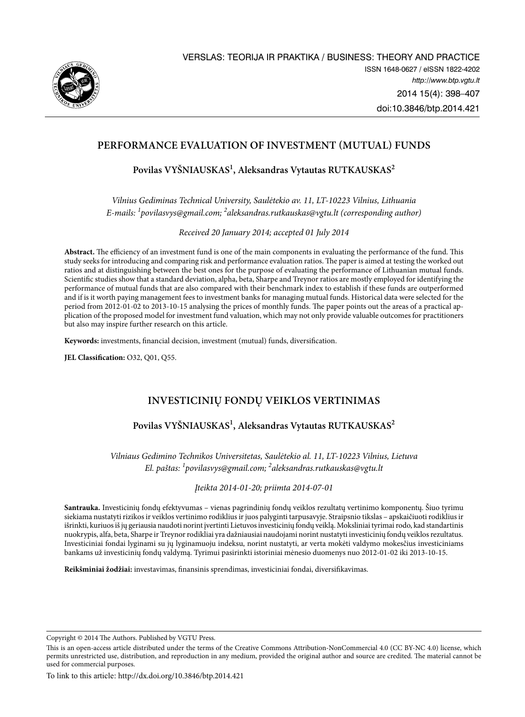

# **PERFORMANCE EVALUATION OF INVESTMENT (MUTUAL) FUNDS**

**Povilas VYŠNIAUSKAS1 , Aleksandras Vytautas RUTKAUSKAS2**

*Vilnius Gediminas Technical University, Saulėtekio av. 11, LT-10223 Vilnius, Lithuania E-mails: <sup>1</sup> povilasvys@gmail.com; 2 aleksandras.rutkauskas@vgtu.lt (corresponding author)*

*Received 20 January 2014; accepted 01 July 2014* 

**Abstract.** The efficiency of an investment fund is one of the main components in evaluating the performance of the fund. This study seeks for introducing and comparing risk and performance evaluation ratios. The paper is aimed at testing the worked out ratios and at distinguishing between the best ones for the purpose of evaluating the performance of Lithuanian mutual funds. Scientific studies show that a standard deviation, alpha, beta, Sharpe and Treynor ratios are mostly employed for identifying the performance of mutual funds that are also compared with their benchmark index to establish if these funds are outperformed and if is it worth paying management fees to investment banks for managing mutual funds. Historical data were selected for the period from 2012-01-02 to 2013-10-15 analysing the prices of monthly funds. The paper points out the areas of a practical application of the proposed model for investment fund valuation, which may not only provide valuable outcomes for practitioners but also may inspire further research on this article.

**Keywords:** investments, financial decision, investment (mutual) funds, diversification.

**JEL Classification:** O32, Q01, Q55.

# **investicinių fondų veiklos vertinimas**

# **Povilas VYŠNIAUSKAS1 , Aleksandras Vytautas RUTKAUSKAS2**

*Vilniaus Gedimino Technikos Universitetas, Saulėtekio al. 11, LT-10223 Vilnius, Lietuva El. paštas: 1 povilasvys@gmail.com; 2 aleksandras.rutkauskas@vgtu.lt*

*Įteikta 2014-01-20; priimta 2014-07-01*

**Santrauka.** Investicinių fondų efektyvumas – vienas pagrindinių fondų veiklos rezultatų vertinimo komponentų. Šiuo tyrimu siekiama nustatyti rizikos ir veiklos vertinimo rodiklius ir juos palyginti tarpusavyje. Straipsnio tikslas – apskaičiuoti rodiklius ir išrinkti, kuriuos iš jų geriausia naudoti norint įvertinti Lietuvos investicinių fondų veiklą. Moksliniai tyrimai rodo, kad standartinis nuokrypis, alfa, beta, Sharpe ir Treynor rodikliai yra dažniausiai naudojami norint nustatyti investicinių fondų veiklos rezultatus. Investiciniai fondai lyginami su jų lyginamuoju indeksu, norint nustatyti, ar verta mokėti valdymo mokesčius investiciniams bankams už investicinių fondų valdymą. Tyrimui pasirinkti istoriniai mėnesio duomenys nuo 2012-01-02 iki 2013-10-15.

**Reikšminiai žodžiai:** investavimas, finansinis sprendimas, investiciniai fondai, diversifikavimas.

Copyright © 2014 The Authors. Published by VGTU Press.

This is an open-access article distributed under the terms of the Creative Commons Attribution-NonCommercial 4.0 (CC BY-NC 4.0) license, which permits unrestricted use, distribution, and reproduction in any medium, provided the original author and source are credited. The material cannot be used for commercial purposes.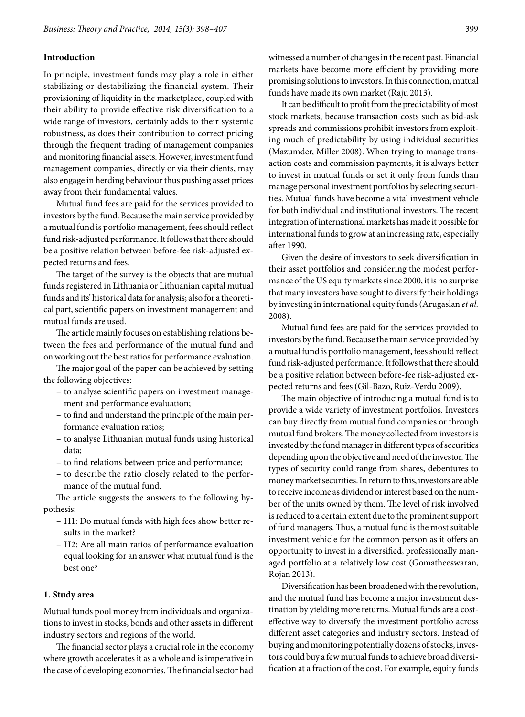## **Introduction**

In principle, investment funds may play a role in either stabilizing or destabilizing the financial system. Their provisioning of liquidity in the marketplace, coupled with their ability to provide effective risk diversification to a wide range of investors, certainly adds to their systemic robustness, as does their contribution to correct pricing through the frequent trading of management companies and monitoring financial assets. However, investment fund management companies, directly or via their clients, may also engage in herding behaviour thus pushing asset prices away from their fundamental values.

Mutual fund fees are paid for the services provided to investors by the fund. Because the main service provided by a mutual fund is portfolio management, fees should reflect fund risk-adjusted performance. It follows that there should be a positive relation between before-fee risk-adjusted expected returns and fees.

The target of the survey is the objects that are mutual funds registered in Lithuania or Lithuanian capital mutual funds and its' historical data for analysis; also for a theoretical part, scientific papers on investment management and mutual funds are used.

The article mainly focuses on establishing relations between the fees and performance of the mutual fund and on working out the best ratios for performance evaluation.

The major goal of the paper can be achieved by setting the following objectives:

- to analyse scientific papers on investment management and performance evaluation;
- to find and understand the principle of the main performance evaluation ratios;
- to analyse Lithuanian mutual funds using historical data;
- to find relations between price and performance;
- to describe the ratio closely related to the performance of the mutual fund.

The article suggests the answers to the following hypothesis:

- H1: Do mutual funds with high fees show better results in the market?
- H2: Are all main ratios of performance evaluation equal looking for an answer what mutual fund is the best one?

## **1. Study area**

Mutual funds pool money from individuals and organizations to invest in stocks, bonds and other assets in different industry sectors and regions of the world.

The financial sector plays a crucial role in the economy where growth accelerates it as a whole and is imperative in the case of developing economies. The financial sector had

witnessed a number of changes in the recent past. Financial markets have become more efficient by providing more promising solutions to investors. In this connection, mutual funds have made its own market (Raju 2013).

It can be difficult to profit from the predictability of most stock markets, because transaction costs such as bid-ask spreads and commissions prohibit investors from exploiting much of predictability by using individual securities (Mazumder, Miller 2008). When trying to manage transaction costs and commission payments, it is always better to invest in mutual funds or set it only from funds than manage personal investment portfolios by selecting securities. Mutual funds have become a vital investment vehicle for both individual and institutional investors. The recent integration of international markets has made it possible for international funds to grow at an increasing rate, especially after 1990.

Given the desire of investors to seek diversification in their asset portfolios and considering the modest performance of the US equity markets since 2000, it is no surprise that many investors have sought to diversify their holdings by investing in international equity funds (Arugaslan *et al.* 2008).

Mutual fund fees are paid for the services provided to investors by the fund. Because the main service provided by a mutual fund is portfolio management, fees should reflect fund risk-adjusted performance. It follows that there should be a positive relation between before-fee risk-adjusted expected returns and fees (Gil-Bazo, Ruiz-Verdu 2009).

The main objective of introducing a mutual fund is to provide a wide variety of investment portfolios. Investors can buy directly from mutual fund companies or through mutual fund brokers. The money collected from investors is invested by the fund manager in different types of securities depending upon the objective and need of the investor. The types of security could range from shares, debentures to money market securities. In return to this, investors are able to receive income as dividend or interest based on the number of the units owned by them. The level of risk involved is reduced to a certain extent due to the prominent support of fund managers. Thus, a mutual fund is the most suitable investment vehicle for the common person as it offers an opportunity to invest in a diversified, professionally managed portfolio at a relatively low cost (Gomatheeswaran, Rojan 2013).

Diversification has been broadened with the revolution, and the mutual fund has become a major investment destination by yielding more returns. Mutual funds are a costeffective way to diversify the investment portfolio across different asset categories and industry sectors. Instead of buying and monitoring potentially dozens of stocks, investors could buy a few mutual funds to achieve broad diversification at a fraction of the cost. For example, equity funds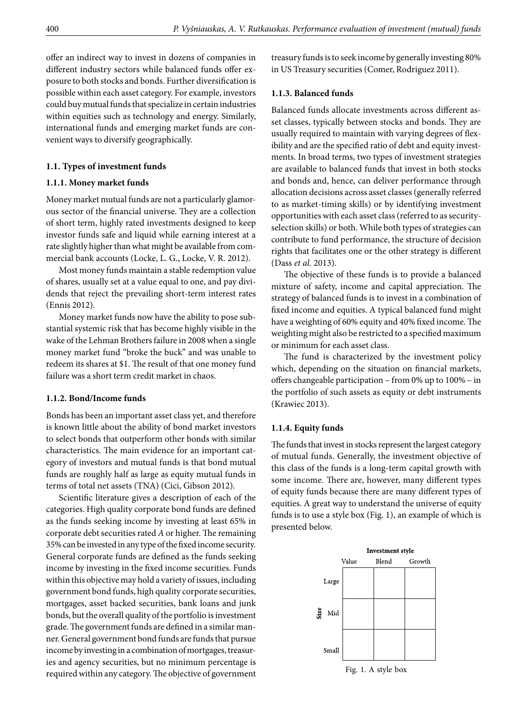offer an indirect way to invest in dozens of companies in different industry sectors while balanced funds offer exposure to both stocks and bonds. Further diversification is possible within each asset category. For example, investors could buy mutual funds that specialize in certain industries within equities such as technology and energy. Similarly, international funds and emerging market funds are convenient ways to diversify geographically.

## **1.1. Types of investment funds**

## **1.1.1. Money market funds**

Money market mutual funds are not a particularly glamorous sector of the financial universe. They are a collection of short term, highly rated investments designed to keep investor funds safe and liquid while earning interest at a rate slightly higher than what might be available from commercial bank accounts (Locke, L. G., Locke, V. R. 2012).

Most money funds maintain a stable redemption value of shares, usually set at a value equal to one, and pay dividends that reject the prevailing short-term interest rates (Ennis 2012).

Money market funds now have the ability to pose substantial systemic risk that has become highly visible in the wake of the Lehman Brothers failure in 2008 when a single money market fund "broke the buck" and was unable to redeem its shares at \$1. The result of that one money fund failure was a short term credit market in chaos.

## **1.1.2. Bond/Income funds**

Bonds has been an important asset class yet, and therefore is known little about the ability of bond market investors to select bonds that outperform other bonds with similar characteristics. The main evidence for an important category of investors and mutual funds is that bond mutual funds are roughly half as large as equity mutual funds in terms of total net assets (TNA) (Cici, Gibson 2012).

Scientific literature gives a description of each of the categories. High quality corporate bond funds are defined as the funds seeking income by investing at least 65% in corporate debt securities rated *A* or higher. The remaining 35% can be invested in any type of the fixed income security. General corporate funds are defined as the funds seeking income by investing in the fixed income securities. Funds within this objective may hold a variety of issues, including government bond funds, high quality corporate securities, mortgages, asset backed securities, bank loans and junk bonds, but the overall quality of the portfolio is investment grade. The government funds are defined in a similar manner. General government bond funds are funds that pursue income by investing in a combination of mortgages, treasuries and agency securities, but no minimum percentage is required within any category. The objective of government treasury funds is to seek income by generally investing 80% in US Treasury securities (Comer, Rodriguez 2011).

## **1.1.3. Balanced funds**

Balanced funds allocate investments across different asset classes, typically between stocks and bonds. They are usually required to maintain with varying degrees of flexibility and are the specified ratio of debt and equity investments. In broad terms, two types of investment strategies are available to balanced funds that invest in both stocks and bonds and, hence, can deliver performance through allocation decisions across asset classes (generally referred to as market-timing skills) or by identifying investment opportunities with each asset class (referred to as securityselection skills) or both. While both types of strategies can contribute to fund performance, the structure of decision rights that facilitates one or the other strategy is different (Dass *et al.* 2013).

The objective of these funds is to provide a balanced mixture of safety, income and capital appreciation. The strategy of balanced funds is to invest in a combination of fixed income and equities. A typical balanced fund might have a weighting of 60% equity and 40% fixed income. The weighting might also be restricted to a specified maximum or minimum for each asset class.

The fund is characterized by the investment policy which, depending on the situation on financial markets, offers changeable participation – from 0% up to 100% – in the portfolio of such assets as equity or debt instruments (Krawiec 2013).

## **1.1.4. Equity funds**

The funds that invest in stocks represent the largest category of mutual funds. Generally, the investment objective of this class of the funds is a long-term capital growth with some income. There are, however, many different types of equity funds because there are many different types of equities. A great way to understand the universe of equity funds is to use a style box (Fig. 1), an example of which is presented below.

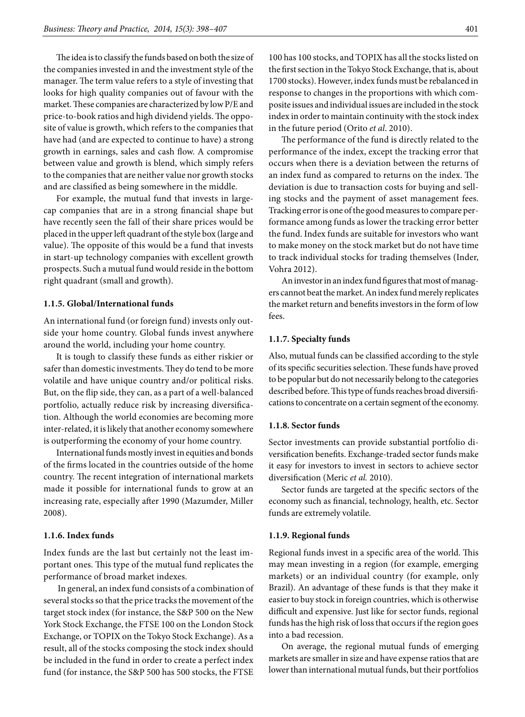The idea is to classify the funds based on both the size of the companies invested in and the investment style of the manager. The term value refers to a style of investing that looks for high quality companies out of favour with the market. These companies are characterized by low P/E and price-to-book ratios and high dividend yields. The opposite of value is growth, which refers to the companies that have had (and are expected to continue to have) a strong growth in earnings, sales and cash flow. A compromise between value and growth is blend, which simply refers to the companies that are neither value nor growth stocks and are classified as being somewhere in the middle.

For example, the mutual fund that invests in largecap companies that are in a strong financial shape but have recently seen the fall of their share prices would be placed in the upper left quadrant of the style box (large and value). The opposite of this would be a fund that invests in start-up technology companies with excellent growth prospects. Such a mutual fund would reside in the bottom right quadrant (small and growth).

## **1.1.5. Global/International funds**

An international fund (or foreign fund) invests only outside your home country. Global funds invest anywhere around the world, including your home country.

It is tough to classify these funds as either riskier or safer than domestic investments. They do tend to be more volatile and have unique country and/or political risks. But, on the flip side, they can, as a part of a well-balanced portfolio, actually reduce risk by increasing diversification. Although the world economies are becoming more inter-related, it is likely that another economy somewhere is outperforming the economy of your home country.

International funds mostly invest in equities and bonds of the firms located in the countries outside of the home country. The recent integration of international markets made it possible for international funds to grow at an increasing rate, especially after 1990 (Mazumder, Miller 2008).

## **1.1.6. Index funds**

Index funds are the last but certainly not the least important ones. This type of the mutual fund replicates the performance of broad market indexes.

 In general, an index fund consists of a combination of several stocks so that the price tracks the movement of the target stock index (for instance, the S&P 500 on the New York Stock Exchange, the FTSE 100 on the London Stock Exchange, or TOPIX on the Tokyo Stock Exchange). As a result, all of the stocks composing the stock index should be included in the fund in order to create a perfect index fund (for instance, the S&P 500 has 500 stocks, the FTSE

100 has 100 stocks, and TOPIX has all the stocks listed on the first section in the Tokyo Stock Exchange, that is, about 1700 stocks). However, index funds must be rebalanced in response to changes in the proportions with which composite issues and individual issues are included in the stock index in order to maintain continuity with the stock index in the future period (Orito *et al*. 2010).

The performance of the fund is directly related to the performance of the index, except the tracking error that occurs when there is a deviation between the returns of an index fund as compared to returns on the index. The deviation is due to transaction costs for buying and selling stocks and the payment of asset management fees. Tracking error is one of the good measures to compare performance among funds as lower the tracking error better the fund. Index funds are suitable for investors who want to make money on the stock market but do not have time to track individual stocks for trading themselves (Inder, Vohra 2012).

An investor in an index fund figures that most of managers cannot beat the market. An index fund merely replicates the market return and benefits investors in the form of low fees.

## **1.1.7. Specialty funds**

Also, mutual funds can be classified according to the style of its specific securities selection. These funds have proved to be popular but do not necessarily belong to the categories described before. This type of funds reaches broad diversifications to concentrate on a certain segment of the economy.

#### **1.1.8. Sector funds**

Sector investments can provide substantial portfolio diversification benefits. Exchange-traded sector funds make it easy for investors to invest in sectors to achieve sector diversification (Meric *et al.* 2010).

Sector funds are targeted at the specific sectors of the economy such as financial, technology, health, etc. Sector funds are extremely volatile.

## **1.1.9. Regional funds**

Regional funds invest in a specific area of the world. This may mean investing in a region (for example, emerging markets) or an individual country (for example, only Brazil). An advantage of these funds is that they make it easier to buy stock in foreign countries, which is otherwise difficult and expensive. Just like for sector funds, regional funds has the high risk of loss that occurs if the region goes into a bad recession.

On average, the regional mutual funds of emerging markets are smaller in size and have expense ratios that are lower than international mutual funds, but their portfolios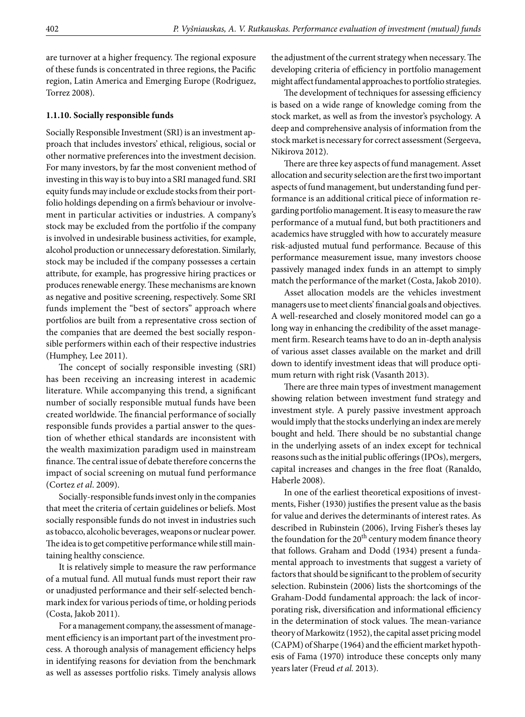are turnover at a higher frequency. The regional exposure of these funds is concentrated in three regions, the Pacific region, Latin America and Emerging Europe (Rodriguez, Torrez 2008).

### **1.1.10. Socially responsible funds**

Socially Responsible Investment (SRI) is an investment approach that includes investors' ethical, religious, social or other normative preferences into the investment decision. For many investors, by far the most convenient method of investing in this way is to buy into a SRI managed fund. SRI equity funds may include or exclude stocks from their portfolio holdings depending on a firm's behaviour or involvement in particular activities or industries. A company's stock may be excluded from the portfolio if the company is involved in undesirable business activities, for example, alcohol production or unnecessary deforestation. Similarly, stock may be included if the company possesses a certain attribute, for example, has progressive hiring practices or produces renewable energy. These mechanisms are known as negative and positive screening, respectively. Some SRI funds implement the "best of sectors" approach where portfolios are built from a representative cross section of the companies that are deemed the best socially responsible performers within each of their respective industries (Humphey, Lee 2011).

The concept of socially responsible investing (SRI) has been receiving an increasing interest in academic literature. While accompanying this trend, a significant number of socially responsible mutual funds have been created worldwide. The financial performance of socially responsible funds provides a partial answer to the question of whether ethical standards are inconsistent with the wealth maximization paradigm used in mainstream finance. The central issue of debate therefore concerns the impact of social screening on mutual fund performance (Cortez *et al*. 2009).

Socially-responsible funds invest only in the companies that meet the criteria of certain guidelines or beliefs. Most socially responsible funds do not invest in industries such as tobacco, alcoholic beverages, weapons or nuclear power. The idea is to get competitive performance while still maintaining healthy conscience.

It is relatively simple to measure the raw performance of a mutual fund. All mutual funds must report their raw or unadjusted performance and their self-selected benchmark index for various periods of time, or holding periods (Costa, Jakob 2011).

For a management company, the assessment of management efficiency is an important part of the investment process. A thorough analysis of management efficiency helps in identifying reasons for deviation from the benchmark as well as assesses portfolio risks. Timely analysis allows the adjustment of the current strategy when necessary. The developing criteria of efficiency in portfolio management might affect fundamental approaches to portfolio strategies.

The development of techniques for assessing efficiency is based on a wide range of knowledge coming from the stock market, as well as from the investor's psychology. A deep and comprehensive analysis of information from the stock market is necessary for correct assessment (Sergeeva, Nikirova 2012).

There are three key aspects of fund management. Asset allocation and security selection are the first two important aspects of fund management, but understanding fund performance is an additional critical piece of information regarding portfolio management. It is easy to measure the raw performance of a mutual fund, but both practitioners and academics have struggled with how to accurately measure risk-adjusted mutual fund performance. Because of this performance measurement issue, many investors choose passively managed index funds in an attempt to simply match the performance of the market (Costa, Jakob 2010).

Asset allocation models are the vehicles investment managers use to meet clients' financial goals and objectives. A well-researched and closely monitored model can go a long way in enhancing the credibility of the asset management firm. Research teams have to do an in-depth analysis of various asset classes available on the market and drill down to identify investment ideas that will produce optimum return with right risk (Vasanth 2013).

There are three main types of investment management showing relation between investment fund strategy and investment style. A purely passive investment approach would imply that the stocks underlying an index are merely bought and held. There should be no substantial change in the underlying assets of an index except for technical reasons such as the initial public offerings (IPOs), mergers, capital increases and changes in the free float (Ranaldo, Haberle 2008).

In one of the earliest theoretical expositions of investments, Fisher (1930) justifies the present value as the basis for value and derives the determinants of interest rates. As described in Rubinstein (2006), Irving Fisher's theses lay the foundation for the 20<sup>th</sup> century modem finance theory that follows. Graham and Dodd (1934) present a fundamental approach to investments that suggest a variety of factors that should be significant to the problem of security selection. Rubinstein (2006) lists the shortcomings of the Graham-Dodd fundamental approach: the lack of incorporating risk, diversification and informational efficiency in the determination of stock values. The mean-variance theory of Markowitz (1952), the capital asset pricing model (CAPM) of Sharpe (1964) and the efficient market hypothesis of Fama (1970) introduce these concepts only many years later (Freud *et al.* 2013).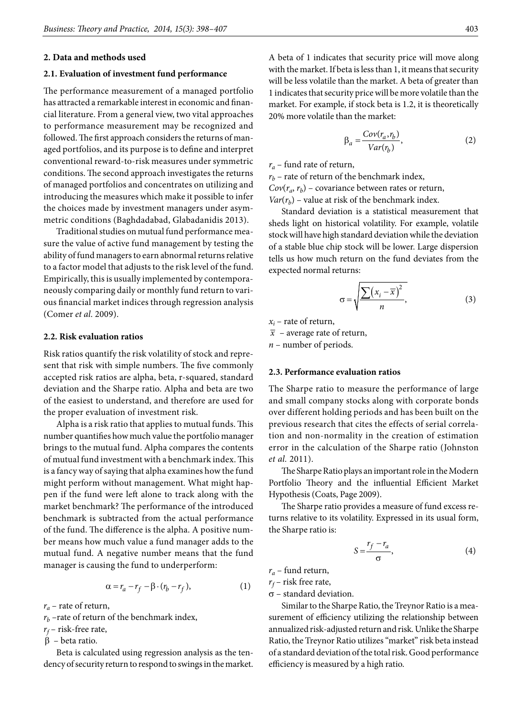#### **2. Data and methods used**

## **2.1. Evaluation of investment fund performance**

The performance measurement of a managed portfolio has attracted a remarkable interest in economic and financial literature. From a general view, two vital approaches to performance measurement may be recognized and followed. The first approach considers the returns of managed portfolios, and its purpose is to define and interpret conventional reward-to-risk measures under symmetric conditions. The second approach investigates the returns of managed portfolios and concentrates on utilizing and introducing the measures which make it possible to infer the choices made by investment managers under asymmetric conditions (Baghdadabad, Glabadanidis 2013).

Traditional studies on mutual fund performance measure the value of active fund management by testing the ability of fund managers to earn abnormal returns relative to a factor model that adjusts to the risk level of the fund. Empirically, this is usually implemented by contemporaneously comparing daily or monthly fund return to various financial market indices through regression analysis (Comer *et al.* 2009).

### **2.2. Risk evaluation ratios**

Risk ratios quantify the risk volatility of stock and represent that risk with simple numbers. The five commonly accepted risk ratios are alpha, beta, r-squared, standard deviation and the Sharpe ratio. Alpha and beta are two of the easiest to understand, and therefore are used for the proper evaluation of investment risk.

Alpha is a risk ratio that applies to mutual funds. This number quantifies how much value the portfolio manager brings to the mutual fund. Alpha compares the contents of mutual fund investment with a benchmark index. This is a fancy way of saying that alpha examines how the fund might perform without management. What might happen if the fund were left alone to track along with the market benchmark? The performance of the introduced benchmark is subtracted from the actual performance of the fund. The difference is the alpha. A positive number means how much value a fund manager adds to the mutual fund. A negative number means that the fund manager is causing the fund to underperform:

$$
\alpha = r_a - r_f - \beta \cdot (r_b - r_f),\tag{1}
$$

 $r_a$  – rate of return,

 $r_b$  –rate of return of the benchmark index,

*rf* – risk-free rate,

β – beta ratio.

Beta is calculated using regression analysis as the tendency of security return to respond to swings in the market.

A beta of 1 indicates that security price will move along with the market. If beta is less than 1, it means that security will be less volatile than the market. A beta of greater than 1 indicates that security price will be more volatile than the market. For example, if stock beta is 1.2, it is theoretically 20% more volatile than the market:

$$
\beta_a = \frac{Cov(r_a, r_b)}{Var(r_b)},\tag{2}
$$

*ra* – fund rate of return,

 $r_b$  – rate of return of the benchmark index,  $Cov(r_a, r_b)$  – covariance between rates or return,  $Var(r_b)$  – value at risk of the benchmark index.

Standard deviation is a statistical measurement that sheds light on historical volatility. For example, volatile stock will have high standard deviation while the deviation of a stable blue chip stock will be lower. Large dispersion tells us how much return on the fund deviates from the expected normal returns:

$$
\sigma = \sqrt{\frac{\sum (x_i - \overline{x})^2}{n}},\tag{3}
$$

 $x_i$  – rate of return,

 $\bar{x}$  – average rate of return,

*n* – number of periods.

#### **2.3. Performance evaluation ratios**

The Sharpe ratio to measure the performance of large and small company stocks along with corporate bonds over different holding periods and has been built on the previous research that cites the effects of serial correlation and non-normality in the creation of estimation error in the calculation of the Sharpe ratio (Johnston *et al.* 2011).

The Sharpe Ratio plays an important role in the Modern Portfolio Theory and the influential Efficient Market Hypothesis (Coats, Page 2009).

The Sharpe ratio provides a measure of fund excess returns relative to its volatility. Expressed in its usual form, the Sharpe ratio is:

$$
S = \frac{r_f - r_a}{\sigma},\tag{4}
$$

*ra* – fund return,

 $r_f$ – risk free rate,

 $\sigma$  – standard deviation.

Similar to the Sharpe Ratio, the Treynor Ratio is a measurement of efficiency utilizing the relationship between annualized risk-adjusted return and risk. Unlike the Sharpe Ratio, the Treynor Ratio utilizes "market" risk beta instead of a standard deviation of the total risk. Good performance efficiency is measured by a high ratio.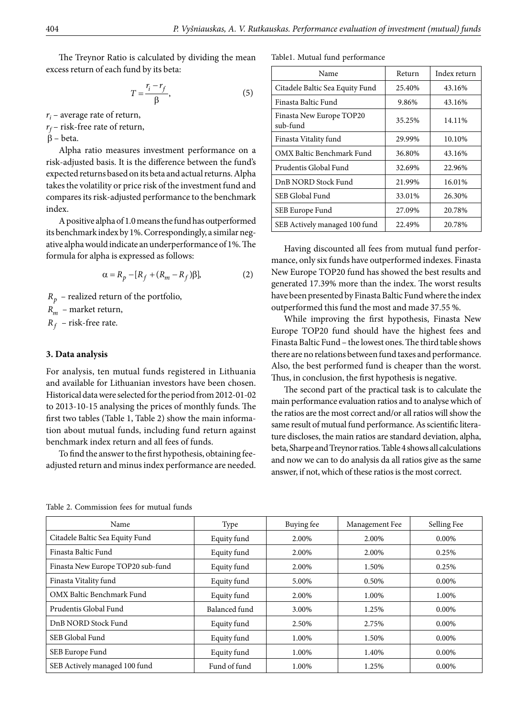The Treynor Ratio is calculated by dividing the mean excess return of each fund by its beta:

$$
T = \frac{r_i - r_f}{\beta},\tag{5}
$$

*ri* – average rate of return,

*rf* – risk-free rate of return,

β – beta.

Alpha ratio measures investment performance on a risk-adjusted basis. It is the difference between the fund's expected returns based on its beta and actual returns. Alpha takes the volatility or price risk of the investment fund and compares its risk-adjusted performance to the benchmark index.

A positive alpha of 1.0 means the fund has outperformed its benchmark index by 1%. Correspondingly, a similar negative alpha would indicate an underperformance of 1%. The formula for alpha is expressed as follows:

$$
\alpha = R_p - [R_f + (R_m - R_f)\beta],\tag{2}
$$

 $R_p$  – realized return of the portfolio,

*Rm* – market return,

 $R_f$  – risk-free rate.

## **3. Data analysis**

For analysis, ten mutual funds registered in Lithuania and available for Lithuanian investors have been chosen. Historical data were selected for the period from 2012-01-02 to 2013-10-15 analysing the prices of monthly funds. The first two tables (Table 1, Table 2) show the main information about mutual funds, including fund return against benchmark index return and all fees of funds.

To find the answer to the first hypothesis, obtaining feeadjusted return and minus index performance are needed.

Table1. Mutual fund performance

| Name                                 | Return | Index return |
|--------------------------------------|--------|--------------|
| Citadele Baltic Sea Equity Fund      | 25.40% | 43.16%       |
| Finasta Baltic Fund                  | 9.86%  | 43.16%       |
| Finasta New Europe TOP20<br>sub-fund | 35.25% | 14.11%       |
| Finasta Vitality fund                | 29.99% | 10.10%       |
| OMX Baltic Benchmark Fund            | 36.80% | 43.16%       |
| Prudentis Global Fund                | 32.69% | 22.96%       |
| DnB NORD Stock Fund                  | 21.99% | 16.01%       |
| SEB Global Fund                      | 33.01% | 26.30%       |
| SEB Europe Fund                      | 27.09% | 20.78%       |
| SEB Actively managed 100 fund        | 22.49% | 20.78%       |

Having discounted all fees from mutual fund performance, only six funds have outperformed indexes. Finasta New Europe TOP20 fund has showed the best results and generated 17.39% more than the index. The worst results have been presented by Finasta Baltic Fund where the index outperformed this fund the most and made 37.55 %.

While improving the first hypothesis, Finasta New Europe TOP20 fund should have the highest fees and Finasta Baltic Fund – the lowest ones. The third table shows there are no relations between fund taxes and performance. Also, the best performed fund is cheaper than the worst. Thus, in conclusion, the first hypothesis is negative.

The second part of the practical task is to calculate the main performance evaluation ratios and to analyse which of the ratios are the most correct and/or all ratios will show the same result of mutual fund performance. As scientific literature discloses, the main ratios are standard deviation, alpha, beta, Sharpe and Treynor ratios. Table 4 shows all calculations and now we can to do analysis da all ratios give as the same answer, if not, which of these ratios is the most correct.

| Name                              | Type          | Buying fee | Management Fee | Selling Fee |
|-----------------------------------|---------------|------------|----------------|-------------|
| Citadele Baltic Sea Equity Fund   | Equity fund   | 2.00%      | 2.00%          | $0.00\%$    |
| Finasta Baltic Fund               | Equity fund   | 2.00%      | 2.00%          | 0.25%       |
| Finasta New Europe TOP20 sub-fund | Equity fund   | 2.00%      | 1.50%          | 0.25%       |
| Finasta Vitality fund             | Equity fund   | 5.00%      | 0.50%          | $0.00\%$    |
| OMX Baltic Benchmark Fund         | Equity fund   | 2.00%      | 1.00%          | 1.00%       |
| Prudentis Global Fund             | Balanced fund | 3.00%      | 1.25%          | $0.00\%$    |
| DnB NORD Stock Fund               | Equity fund   | 2.50%      | 2.75%          | $0.00\%$    |
| SEB Global Fund                   | Equity fund   | 1.00%      | 1.50%          | $0.00\%$    |
| SEB Europe Fund                   | Equity fund   | 1.00%      | 1.40%          | $0.00\%$    |
| SEB Actively managed 100 fund     | Fund of fund  | 1.00%      | 1.25%          | $0.00\%$    |

Table 2. Commission fees for mutual funds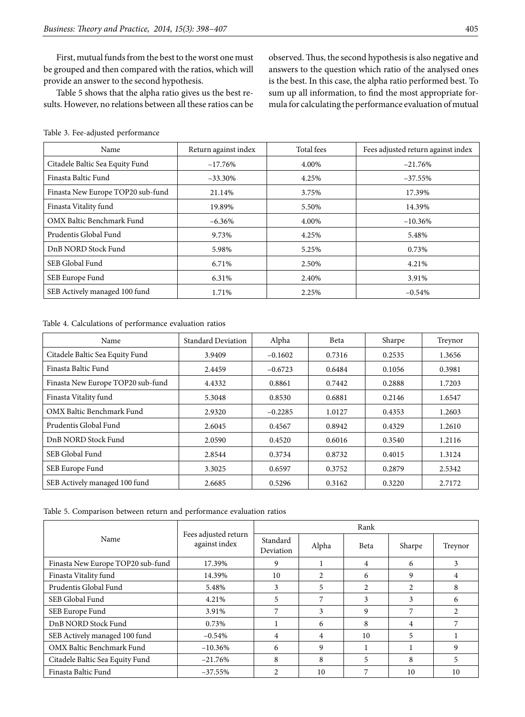First, mutual funds from the best to the worst one must be grouped and then compared with the ratios, which will provide an answer to the second hypothesis.

Table 5 shows that the alpha ratio gives us the best results. However, no relations between all these ratios can be observed. Thus, the second hypothesis is also negative and answers to the question which ratio of the analysed ones is the best. In this case, the alpha ratio performed best. To sum up all information, to find the most appropriate formula for calculating the performance evaluation of mutual

|  | Table 3. Fee-adjusted performance |  |
|--|-----------------------------------|--|
|--|-----------------------------------|--|

| Name                              | Return against index | Total fees | Fees adjusted return against index |
|-----------------------------------|----------------------|------------|------------------------------------|
| Citadele Baltic Sea Equity Fund   | $-17.76\%$           | 4.00%      | $-21.76%$                          |
| Finasta Baltic Fund               | $-33.30\%$           | 4.25%      | $-37.55\%$                         |
| Finasta New Europe TOP20 sub-fund | 21.14%               | 3.75%      | 17.39%                             |
| Finasta Vitality fund             | 19.89%               | 5.50%      | 14.39%                             |
| OMX Baltic Benchmark Fund         | $-6.36\%$            | 4.00%      | $-10.36\%$                         |
| Prudentis Global Fund             | 9.73%                | 4.25%      | 5.48%                              |
| DnB NORD Stock Fund               | 5.98%                | 5.25%      | 0.73%                              |
| SEB Global Fund                   | 6.71%                | 2.50%      | 4.21%                              |
| SEB Europe Fund                   | 6.31%                | 2.40%      | 3.91%                              |
| SEB Actively managed 100 fund     | 1.71%                | 2.25%      | $-0.54%$                           |

Table 4. Calculations of performance evaluation ratios

| Name                              | <b>Standard Deviation</b> | Alpha     | Beta   | Sharpe | Treynor |
|-----------------------------------|---------------------------|-----------|--------|--------|---------|
| Citadele Baltic Sea Equity Fund   | 3.9409                    | $-0.1602$ | 0.7316 | 0.2535 | 1.3656  |
| Finasta Baltic Fund               | 2.4459                    | $-0.6723$ | 0.6484 | 0.1056 | 0.3981  |
| Finasta New Europe TOP20 sub-fund | 4.4332                    | 0.8861    | 0.7442 | 0.2888 | 1.7203  |
| Finasta Vitality fund             | 5.3048                    | 0.8530    | 0.6881 | 0.2146 | 1.6547  |
| OMX Baltic Benchmark Fund         | 2.9320                    | $-0.2285$ | 1.0127 | 0.4353 | 1.2603  |
| Prudentis Global Fund             | 2.6045                    | 0.4567    | 0.8942 | 0.4329 | 1.2610  |
| DnB NORD Stock Fund               | 2.0590                    | 0.4520    | 0.6016 | 0.3540 | 1.2116  |
| SEB Global Fund                   | 2.8544                    | 0.3734    | 0.8732 | 0.4015 | 1.3124  |
| SEB Europe Fund                   | 3.3025                    | 0.6597    | 0.3752 | 0.2879 | 2.5342  |
| SEB Actively managed 100 fund     | 2.6685                    | 0.5296    | 0.3162 | 0.3220 | 2.7172  |

| Table 5. Comparison between return and performance evaluation ratios |  |  |  |  |  |  |
|----------------------------------------------------------------------|--|--|--|--|--|--|
|----------------------------------------------------------------------|--|--|--|--|--|--|

|                                   | Fees adjusted return<br>against index | Rank                  |       |                |        |         |
|-----------------------------------|---------------------------------------|-----------------------|-------|----------------|--------|---------|
| Name                              |                                       | Standard<br>Deviation | Alpha | <b>Beta</b>    | Sharpe | Treynor |
| Finasta New Europe TOP20 sub-fund | 17.39%                                | 9                     |       | 4              | 6      | 3       |
| Finasta Vitality fund             | 14.39%                                | 10                    | 2     | 6              | 9      | 4       |
| Prudentis Global Fund             | 5.48%                                 | 3                     | 5     | $\mathfrak{D}$ | 2      | 8       |
| SEB Global Fund                   | 4.21%                                 | 5                     | 7     | 3              | 3      | 6       |
| SEB Europe Fund                   | 3.91%                                 | 7                     | 3     | 9              | 7      |         |
| DnB NORD Stock Fund               | 0.73%                                 |                       | 6     | 8              | 4      |         |
| SEB Actively managed 100 fund     | $-0.54\%$                             | 4                     | 4     | 10             |        |         |
| OMX Baltic Benchmark Fund         | $-10.36\%$                            | 6                     | 9     |                |        | 9       |
| Citadele Baltic Sea Equity Fund   | $-21.76%$                             | 8                     | 8     | 5              | 8      | 5       |
| Finasta Baltic Fund               | $-37.55%$                             |                       | 10    | 7              | 10     | 10      |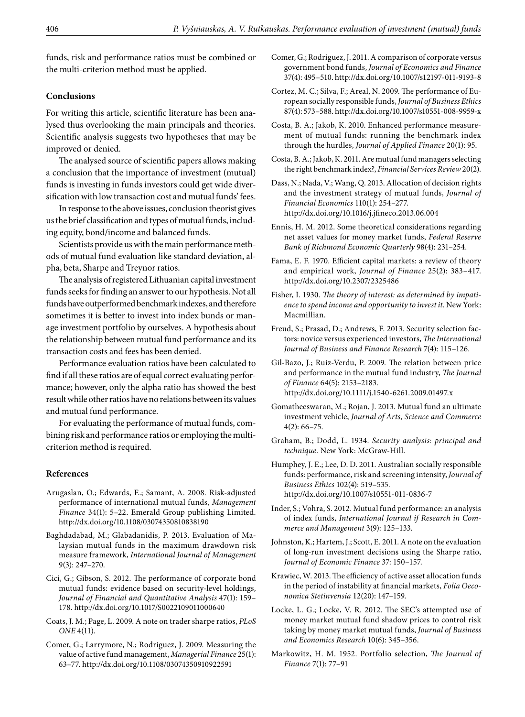funds, risk and performance ratios must be combined or the multi-criterion method must be applied.

# **Conclusions**

For writing this article, scientific literature has been analysed thus overlooking the main principals and theories. Scientific analysis suggests two hypotheses that may be improved or denied.

The analysed source of scientific papers allows making a conclusion that the importance of investment (mutual) funds is investing in funds investors could get wide diversification with low transaction cost and mutual funds' fees.

In response to the above issues, conclusion theorist gives us the brief classification and types of mutual funds, including equity, bond/income and balanced funds.

Scientists provide us with the main performance methods of mutual fund evaluation like standard deviation, alpha, beta, Sharpe and Treynor ratios.

The analysis of registered Lithuanian capital investment funds seeks for finding an answer to our hypothesis. Not all funds have outperformed benchmark indexes, and therefore sometimes it is better to invest into index bunds or manage investment portfolio by ourselves. A hypothesis about the relationship between mutual fund performance and its transaction costs and fees has been denied.

Performance evaluation ratios have been calculated to find if all these ratios are of equal correct evaluating performance; however, only the alpha ratio has showed the best result while other ratios have no relations between its values and mutual fund performance.

For evaluating the performance of mutual funds, combining risk and performance ratios or employing the multicriterion method is required.

# **References**

- Arugaslan, O.; Edwards, E.; Samant, A. 2008. Risk-adjusted performance of international mutual funds, *Management Finance* 34(1): 5–22. Emerald Group publishing Limited. http://dx.doi.org/10.1108/03074350810838190
- Baghdadabad, M.; Glabadanidis, P. 2013. Evaluation of Malaysian mutual funds in the maximum drawdown risk measure framework, *International Journal of Management*  9(3): 247–270.
- Cici, G.; Gibson, S. 2012. The performance of corporate bond mutual funds: evidence based on security-level holdings, *Journal of Financial and Quantitative Analysis* 47(1): 159– 178. http://dx.doi.org/10.1017/S0022109011000640
- Coats, J. M.; Page, L. 2009. A note on trader sharpe ratios, *PLoS ONE* 4(11).
- Comer, G.; Larrymore, N.; Rodriguez, J. 2009. Measuring the value of active fund management, *Managerial Finance* 25(1): 63–77. http://dx.doi.org/10.1108/03074350910922591
- Comer, G.; Rodriguez, J. 2011. A comparison of corporate versus government bond funds, *Journal of Economics and Finance*  37(4): 495–510. http://dx.doi.org/10.1007/s12197-011-9193-8
- Cortez, M. C.; Silva, F.; Areal, N. 2009. The performance of European socially responsible funds, *Journal of Business Ethics* 87(4): 573–588. http://dx.doi.org/10.1007/s10551-008-9959-x
- Costa, B. A.; Jakob, K. 2010. Enhanced performance measurement of mutual funds: running the benchmark index through the hurdles, *Journal of Applied Finance* 20(1): 95.
- Costa, B. A.; Jakob, K. 2011. Are mutual fund managers selecting the right benchmark index?, *Financial Services Review* 20(2).
- Dass, N.; Nada, V.; Wang, Q. 2013. Allocation of decision rights and the investment strategy of mutual funds, *Journal of Financial Economics* 110(1): 254–277. http://dx.doi.org/10.1016/j.jfineco.2013.06.004
- Ennis, H. M. 2012. Some theoretical considerations regarding net asset values for money market funds, *Federal Reserve Bank of Richmond Economic Quarterly* 98(4): 231–254.
- Fama, E. F. 1970. Efficient capital markets: a review of theory and empirical work, *Journal of Finance* 25(2): 383–417. <http://dx.doi.org/10.2307/2325486>
- Fisher, I. 1930. *The theory of interest: as determined by impatience to spend income and opportunity to invest it*. New York: Macmillian.
- Freud, S.; Prasad, D.; Andrews, F. 2013. Security selection factors: novice versus experienced investors, *The International Journal of Business and Finance Research* 7(4): 115–126.
- Gil-Bazo, J.; Ruiz-Verdu, P. 2009. The relation between price and performance in the mutual fund industry, *The Journal of Finance* 64(5): 2153–2183. http://dx.doi.org/10.1111/j.1540-6261.2009.01497.x
- Gomatheeswaran, M.; Rojan, J. 2013. Mutual fund an ultimate investment vehicle, *Journal of Arts, Science and Commerce* 4(2): 66–75.
- Graham, B.; Dodd, L. 1934. *Security analysis: principal and technique.* New York: McGraw-Hill.
- Humphey, J. E.; Lee, D. D. 2011. Australian socially responsible funds: performance, risk and screening intensity, *Journal of Business Ethics* 102(4): 519–535. http://dx.doi.org/10.1007/s10551-011-0836-7
- Inder, S.; Vohra, S. 2012. Mutual fund performance: an analysis of index funds, *International Journal if Research in Commerce and Management* 3(9): 125–133.
- Johnston, K.; Hartem, J.; Scott, E. 2011. A note on the evaluation of long-run investment decisions using the Sharpe ratio, *Journal of Economic Finance* 37: 150–157.
- Krawiec, W. 2013. The efficiency of active asset allocation funds in the period of instability at financial markets, *Folia Oeconomica Stetinvensia* 12(20): 147–159*.*
- Locke, L. G.; Locke, V. R. 2012. The SEC's attempted use of money market mutual fund shadow prices to control risk taking by money market mutual funds, *Journal of Business and Economics Research* 10(6): 345–356.
- Markowitz, H. M. 1952. Portfolio selection, *The Journal of Finance* 7(1): 77–91